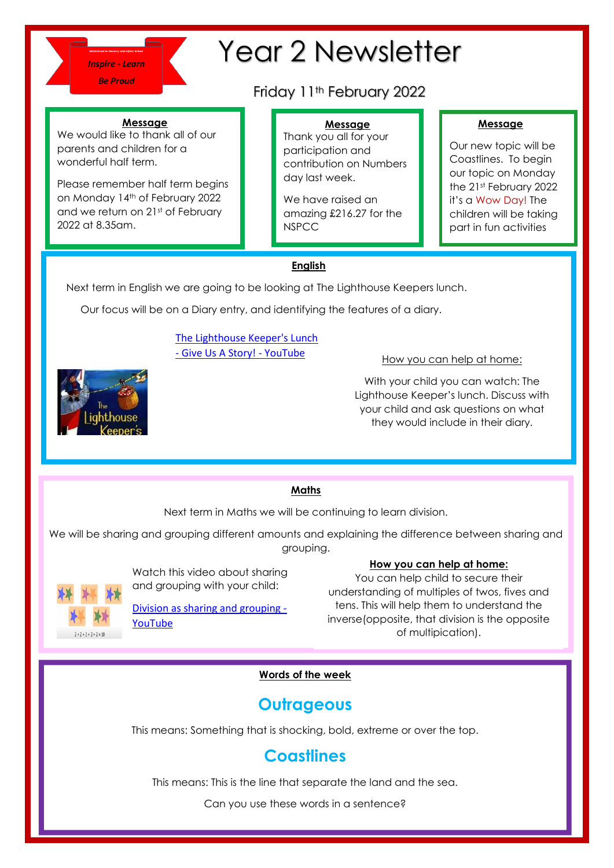

# Year 2 Newsletter

## Friday 11<sup>th</sup> February 2022

### **Message**

We would like to thank all of our parents and children for a wonderful half term.

Please remember half term begins on Monday 14th of February 2022 and we return on 21st of February 2022 at 8.35am.

### **Message**

Thank you all for your participation and contribution on Numbers day last week.

We have raised an amazing £216.27 for the **NSPCC** 

### **Message**

Our new topic will be Coastlines. To begin our topic on Monday the 21st February 2022 it's a Wow Day! The children will be taking part in fun activities

### **English**

Next term in English we are going to be looking at The Lighthouse Keepers lunch.

Our focus will be on a Diary entry, and identifying the features of a diary.

### [The Lighthouse Keeper's Lunch](https://www.youtube.com/watch?v=46wCRq50Wwg)  - [Give Us A Story! -](https://www.youtube.com/watch?v=46wCRq50Wwg) YouTube How you can help at home:

With your child you can watch: The Lighthouse Keeper's lunch. Discuss with your child and ask questions on what they would include in their diary.

### **Maths**

Next term in Maths we will be continuing to learn division.

We will be sharing and grouping different amounts and explaining the difference between sharing and grouping.



Watch this video about sharing and grouping with your child:

[Division as sharing and grouping -](https://www.youtube.com/watch?v=bdglIPNNhuI) [YouTube](https://www.youtube.com/watch?v=bdglIPNNhuI)

### **How you can help at home:**

You can help child to secure their understanding of multiples of twos, fives and tens. This will help them to understand the inverse(opposite, that division is the opposite of multipication).

### **Words of the week**

### **Outrageous**

This means: Something that is shocking, bold, extreme or over the top.

### **Coastlines**

This means: This is the line that separate the land and the sea.

Can you use these words in a sentence?